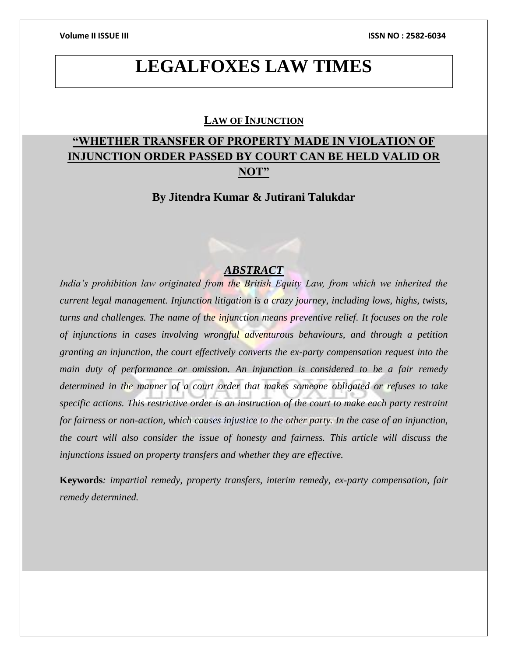# **LEGALFOXES LAW TIMES**

### **LAW OF INJUNCTION**

# **"WHETHER TRANSFER OF PROPERTY MADE IN VIOLATION OF INJUNCTION ORDER PASSED BY COURT CAN BE HELD VALID OR NOT"**

# **By Jitendra Kumar & Jutirani Talukdar**

### *ABSTRACT*

*India's prohibition law originated from the British Equity Law, from which we inherited the current legal management. Injunction litigation is a crazy journey, including lows, highs, twists, turns and challenges. The name of the injunction means preventive relief. It focuses on the role of injunctions in cases involving wrongful adventurous behaviours, and through a petition granting an injunction, the court effectively converts the ex-party compensation request into the main duty of performance or omission. An injunction is considered to be a fair remedy determined in the manner of a court order that makes someone obligated or refuses to take specific actions. This restrictive order is an instruction of the court to make each party restraint for fairness or non-action, which causes injustice to the other party. In the case of an injunction, the court will also consider the issue of honesty and fairness. This article will discuss the injunctions issued on property transfers and whether they are effective.*

**Keywords***: impartial remedy, property transfers, interim remedy, ex-party compensation, fair remedy determined.*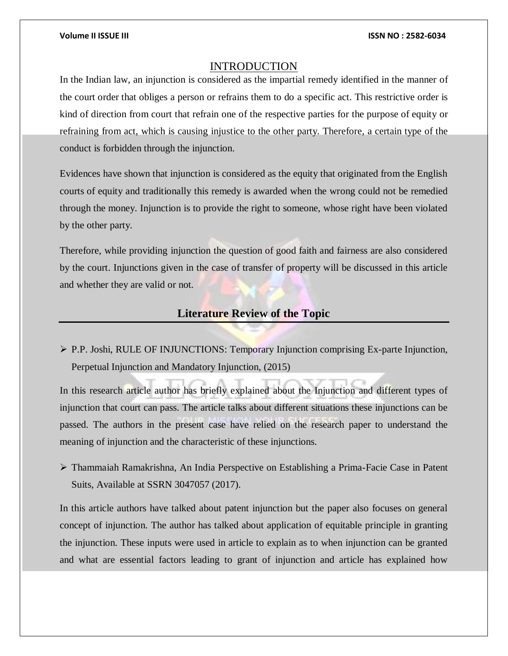### INTRODUCTION

In the Indian law, an injunction is considered as the impartial remedy identified in the manner of the court order that obliges a person or refrains them to do a specific act. This restrictive order is kind of direction from court that refrain one of the respective parties for the purpose of equity or refraining from act, which is causing injustice to the other party. Therefore, a certain type of the conduct is forbidden through the injunction.

Evidences have shown that injunction is considered as the equity that originated from the English courts of equity and traditionally this remedy is awarded when the wrong could not be remedied through the money. Injunction is to provide the right to someone, whose right have been violated by the other party.

Therefore, while providing injunction the question of good faith and fairness are also considered by the court. Injunctions given in the case of transfer of property will be discussed in this article and whether they are valid or not.

# **Literature Review of the Topic**

 P.P. Joshi, RULE OF INJUNCTIONS: Temporary Injunction comprising Ex-parte Injunction, Perpetual Injunction and Mandatory Injunction, (2015)

In this research article author has briefly explained about the Injunction and different types of injunction that court can pass. The article talks about different situations these injunctions can be passed. The authors in the present case have relied on the research paper to understand the meaning of injunction and the characteristic of these injunctions.

 $\triangleright$  Thammaiah Ramakrishna, An India Perspective on Establishing a Prima-Facie Case in Patent Suits, Available at SSRN 3047057 (2017).

In this article authors have talked about patent injunction but the paper also focuses on general concept of injunction. The author has talked about application of equitable principle in granting the injunction. These inputs were used in article to explain as to when injunction can be granted and what are essential factors leading to grant of injunction and article has explained how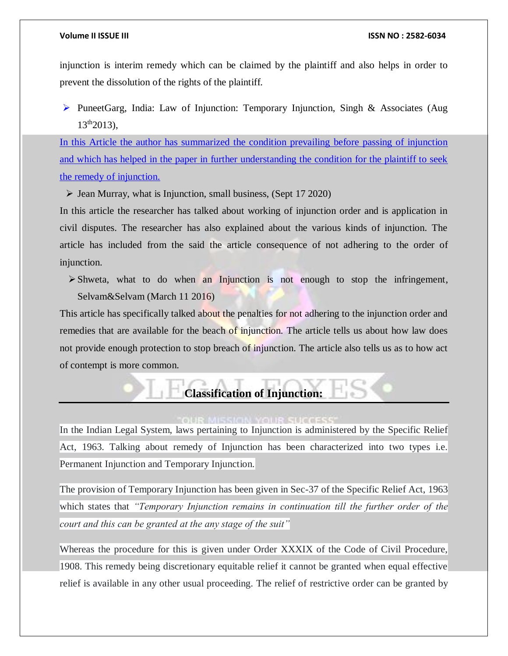injunction is interim remedy which can be claimed by the plaintiff and also helps in order to prevent the dissolution of the rights of the plaintiff.

PuneetGarg, India: Law of Injunction: Temporary Injunction, Singh & Associates (Aug  $13^{th}2013$ ).

In this Article the author has summarized the condition prevailing before passing of injunction and which has helped in the paper in further understanding the condition for the plaintiff to seek the remedy of injunction.

 $\triangleright$  Jean Murray, what is Injunction, small business, (Sept 17 2020)

In this article the researcher has talked about working of injunction order and is application in civil disputes. The researcher has also explained about the various kinds of injunction. The article has included from the said the article consequence of not adhering to the order of injunction.

 $\triangleright$  Shweta, what to do when an Injunction is not enough to stop the infringement, Selvam&Selvam (March 11 2016)

This article has specifically talked about the penalties for not adhering to the injunction order and remedies that are available for the beach of injunction. The article tells us about how law does not provide enough protection to stop breach of injunction. The article also tells us as to how act of contempt is more common.

# **Classification of Injunction:**

### OUR SUCCES

In the Indian Legal System, laws pertaining to Injunction is administered by the Specific Relief Act, 1963. Talking about remedy of Injunction has been characterized into two types i.e. Permanent Injunction and Temporary Injunction.

The provision of Temporary Injunction has been given in Sec-37 of the Specific Relief Act, 1963 which states that *"Temporary Injunction remains in continuation till the further order of the court and this can be granted at the any stage of the suit"*

Whereas the procedure for this is given under Order XXXIX of the Code of Civil Procedure, 1908. This remedy being discretionary equitable relief it cannot be granted when equal effective relief is available in any other usual proceeding. The relief of restrictive order can be granted by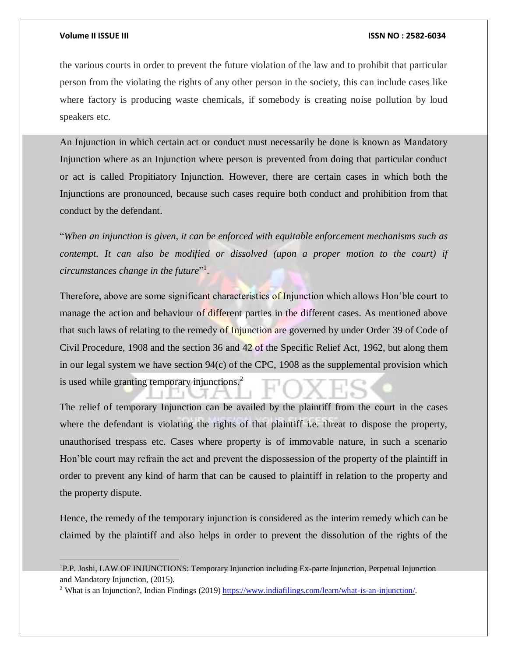$\overline{a}$ 

### **Volume II ISSUE III ISSN NO : 2582-6034**

the various courts in order to prevent the future violation of the law and to prohibit that particular person from the violating the rights of any other person in the society, this can include cases like where factory is producing waste chemicals, if somebody is creating noise pollution by loud speakers etc.

An Injunction in which certain act or conduct must necessarily be done is known as Mandatory Injunction where as an Injunction where person is prevented from doing that particular conduct or act is called Propitiatory Injunction. However, there are certain cases in which both the Injunctions are pronounced, because such cases require both conduct and prohibition from that conduct by the defendant.

"*When an injunction is given, it can be enforced with equitable enforcement mechanisms such as contempt. It can also be modified or dissolved (upon a proper motion to the court) if*  circumstances change in the future"<sup>1</sup>.

Therefore, above are some significant characteristics of Injunction which allows Hon'ble court to manage the action and behaviour of different parties in the different cases. As mentioned above that such laws of relating to the remedy of Injunction are governed by under Order 39 of Code of Civil Procedure, 1908 and the section 36 and 42 of the Specific Relief Act, 1962, but along them in our legal system we have section 94(c) of the CPC, 1908 as the supplemental provision which is used while granting temporary injunctions.<sup>2</sup>

The relief of temporary Injunction can be availed by the plaintiff from the court in the cases where the defendant is violating the rights of that plaintiff i.e. threat to dispose the property, unauthorised trespass etc. Cases where property is of immovable nature, in such a scenario Hon'ble court may refrain the act and prevent the dispossession of the property of the plaintiff in order to prevent any kind of harm that can be caused to plaintiff in relation to the property and the property dispute.

Hence, the remedy of the temporary injunction is considered as the interim remedy which can be claimed by the plaintiff and also helps in order to prevent the dissolution of the rights of the

<sup>1</sup>P.P. Joshi, LAW OF INJUNCTIONS: Temporary Injunction including Ex-parte Injunction, Perpetual Injunction and Mandatory Injunction, (2015).

<sup>2</sup> What is an Injunction?, Indian Findings (2019[\) https://www.indiafilings.com/learn/what-is-an-injunction/.](https://www.indiafilings.com/learn/what-is-an-injunction/)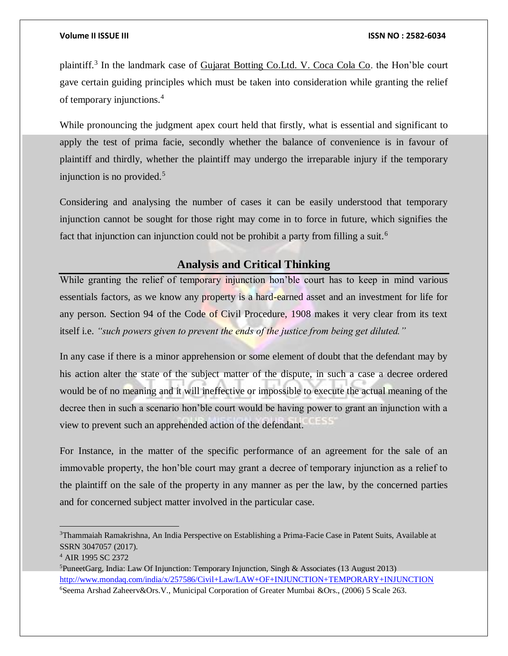plaintiff.<sup>3</sup> In the landmark case of Gujarat Botting Co.Ltd. V. Coca Cola Co. the Hon'ble court gave certain guiding principles which must be taken into consideration while granting the relief of temporary injunctions.<sup>4</sup>

While pronouncing the judgment apex court held that firstly, what is essential and significant to apply the test of prima facie, secondly whether the balance of convenience is in favour of plaintiff and thirdly, whether the plaintiff may undergo the irreparable injury if the temporary injunction is no provided.<sup>5</sup>

Considering and analysing the number of cases it can be easily understood that temporary injunction cannot be sought for those right may come in to force in future, which signifies the fact that injunction can injunction could not be prohibit a party from filling a suit.<sup>6</sup>

# **Analysis and Critical Thinking**

While granting the relief of temporary injunction hon'ble court has to keep in mind various essentials factors, as we know any property is a hard-earned asset and an investment for life for any person. Section 94 of the Code of Civil Procedure, 1908 makes it very clear from its text itself i.e. *"such powers given to prevent the ends of the justice from being get diluted."*

In any case if there is a minor apprehension or some element of doubt that the defendant may by his action alter the state of the subject matter of the dispute, in such a case a decree ordered would be of no meaning and it will ineffective or impossible to execute the actual meaning of the decree then in such a scenario hon'ble court would be having power to grant an injunction with a view to prevent such an apprehended action of the defendant.

For Instance, in the matter of the specific performance of an agreement for the sale of an immovable property, the hon'ble court may grant a decree of temporary injunction as a relief to the plaintiff on the sale of the property in any manner as per the law, by the concerned parties and for concerned subject matter involved in the particular case.

<sup>3</sup>Thammaiah Ramakrishna, An India Perspective on Establishing a Prima-Facie Case in Patent Suits, Available at SSRN 3047057 (2017).

<sup>4</sup> AIR 1995 SC 2372

<sup>&</sup>lt;sup>5</sup>PuneetGarg, India: Law Of Injunction: Temporary Injunction, Singh & Associates (13 August 2013) <http://www.mondaq.com/india/x/257586/Civil+Law/LAW+OF+INJUNCTION+TEMPORARY+INJUNCTION>

<sup>6</sup>Seema Arshad Zaheerv&Ors.V., Municipal Corporation of Greater Mumbai &Ors., (2006) 5 Scale 263.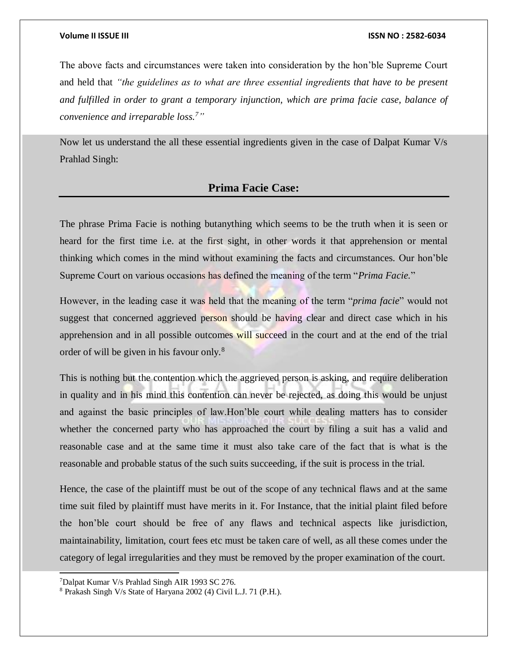The above facts and circumstances were taken into consideration by the hon'ble Supreme Court and held that *"the guidelines as to what are three essential ingredients that have to be present and fulfilled in order to grant a temporary injunction, which are prima facie case, balance of convenience and irreparable loss.<sup>7</sup>"*

Now let us understand the all these essential ingredients given in the case of Dalpat Kumar V/s Prahlad Singh:

### **Prima Facie Case:**

The phrase Prima Facie is nothing butanything which seems to be the truth when it is seen or heard for the first time i.e. at the first sight, in other words it that apprehension or mental thinking which comes in the mind without examining the facts and circumstances. Our hon'ble Supreme Court on various occasions has defined the meaning of the term "*Prima Facie.*"

However, in the leading case it was held that the meaning of the term "*prima facie*" would not suggest that concerned aggrieved person should be having clear and direct case which in his apprehension and in all possible outcomes will succeed in the court and at the end of the trial order of will be given in his favour only.<sup>8</sup>

This is nothing but the contention which the aggrieved person is asking, and require deliberation in quality and in his mind this contention can never be rejected, as doing this would be unjust and against the basic principles of law.Hon'ble court while dealing matters has to consider whether the concerned party who has approached the court by filing a suit has a valid and reasonable case and at the same time it must also take care of the fact that is what is the reasonable and probable status of the such suits succeeding, if the suit is process in the trial.

Hence, the case of the plaintiff must be out of the scope of any technical flaws and at the same time suit filed by plaintiff must have merits in it. For Instance, that the initial plaint filed before the hon'ble court should be free of any flaws and technical aspects like jurisdiction, maintainability, limitation, court fees etc must be taken care of well, as all these comes under the category of legal irregularities and they must be removed by the proper examination of the court.

l

<sup>7</sup>Dalpat Kumar V/s Prahlad Singh AIR 1993 SC 276.

<sup>8</sup> Prakash Singh V/s State of Haryana 2002 (4) Civil L.J. 71 (P.H.).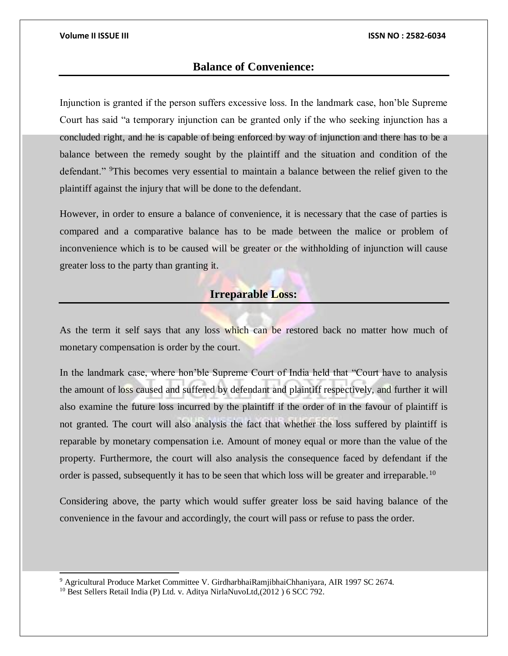# **Balance of Convenience:**

Injunction is granted if the person suffers excessive loss. In the landmark case, hon'ble Supreme Court has said "a temporary injunction can be granted only if the who seeking injunction has a concluded right, and he is capable of being enforced by way of injunction and there has to be a balance between the remedy sought by the plaintiff and the situation and condition of the defendant." <sup>9</sup>This becomes very essential to maintain a balance between the relief given to the plaintiff against the injury that will be done to the defendant.

However, in order to ensure a balance of convenience, it is necessary that the case of parties is compared and a comparative balance has to be made between the malice or problem of inconvenience which is to be caused will be greater or the withholding of injunction will cause greater loss to the party than granting it.

# **Irreparable Loss:**

As the term it self says that any loss which can be restored back no matter how much of monetary compensation is order by the court.

In the landmark case, where hon'ble Supreme Court of India held that "Court have to analysis the amount of loss caused and suffered by defendant and plaintiff respectively, and further it will also examine the future loss incurred by the plaintiff if the order of in the favour of plaintiff is not granted. The court will also analysis the fact that whether the loss suffered by plaintiff is reparable by monetary compensation i.e. Amount of money equal or more than the value of the property. Furthermore, the court will also analysis the consequence faced by defendant if the order is passed, subsequently it has to be seen that which loss will be greater and irreparable.<sup>10</sup>

Considering above, the party which would suffer greater loss be said having balance of the convenience in the favour and accordingly, the court will pass or refuse to pass the order.

l

<sup>9</sup> Agricultural Produce Market Committee V. GirdharbhaiRamjibhaiChhaniyara, AIR 1997 SC 2674.

<sup>&</sup>lt;sup>10</sup> Best Sellers Retail India (P) Ltd. v. Aditya NirlaNuvoLtd,(2012) 6 SCC 792.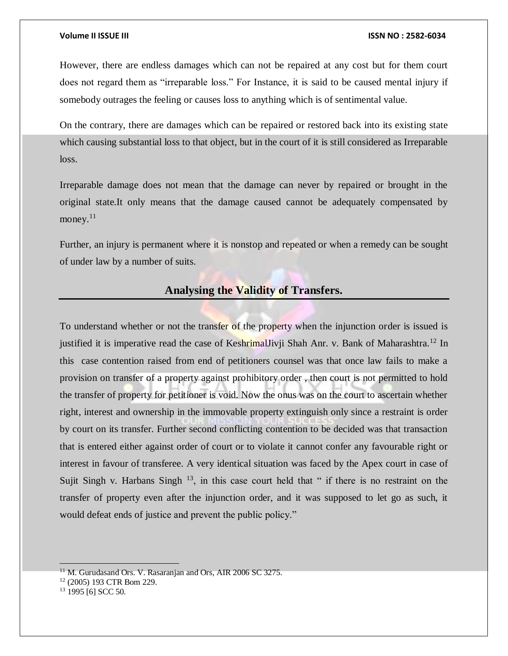However, there are endless damages which can not be repaired at any cost but for them court does not regard them as "irreparable loss." For Instance, it is said to be caused mental injury if somebody outrages the feeling or causes loss to anything which is of sentimental value.

On the contrary, there are damages which can be repaired or restored back into its existing state which causing substantial loss to that object, but in the court of it is still considered as Irreparable loss.

Irreparable damage does not mean that the damage can never by repaired or brought in the original state.It only means that the damage caused cannot be adequately compensated by money.<sup>11</sup>

Further, an injury is permanent where it is nonstop and repeated or when a remedy can be sought of under law by a number of suits.

# **Analysing the Validity of Transfers.**

To understand whether or not the transfer of the property when the injunction order is issued is justified it is imperative read the case of KeshrimalJivji Shah Anr. v. Bank of Maharashtra.<sup>12</sup> In this case contention raised from end of petitioners counsel was that once law fails to make a provision on transfer of a property against prohibitory order , then court is not permitted to hold the transfer of property for petitioner is void. Now the onus was on the court to ascertain whether right, interest and ownership in the immovable property extinguish only since a restraint is order by court on its transfer. Further second conflicting contention to be decided was that transaction that is entered either against order of court or to violate it cannot confer any favourable right or interest in favour of transferee. A very identical situation was faced by the Apex court in case of Sujit Singh v. Harbans Singh  $^{13}$ , in this case court held that " if there is no restraint on the transfer of property even after the injunction order, and it was supposed to let go as such, it would defeat ends of justice and prevent the public policy."

 $11$  M. Gurudasand Ors. V. Rasaranjan and Ors, AIR 2006 SC 3275.

<sup>12</sup> (2005) 193 CTR Bom 229.

<sup>&</sup>lt;sup>13</sup> 1995 [6] SCC 50.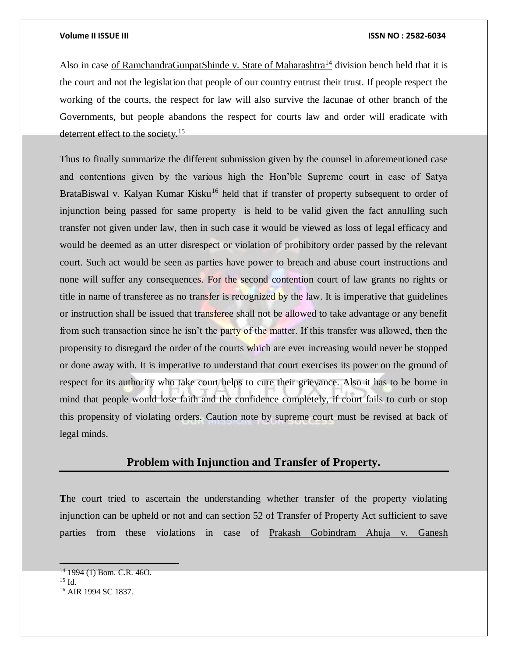Also in case of RamchandraGunpatShinde v. State of Maharashtra<sup>14</sup> division bench held that it is the court and not the legislation that people of our country entrust their trust. If people respect the working of the courts, the respect for law will also survive the lacunae of other branch of the Governments, but people abandons the respect for courts law and order will eradicate with deterrent effect to the society.<sup>15</sup>

Thus to finally summarize the different submission given by the counsel in aforementioned case and contentions given by the various high the Hon'ble Supreme court in case of Satya BrataBiswal v. Kalyan Kumar Kisku<sup>16</sup> held that if transfer of property subsequent to order of injunction being passed for same property is held to be valid given the fact annulling such transfer not given under law, then in such case it would be viewed as loss of legal efficacy and would be deemed as an utter disrespect or violation of prohibitory order passed by the relevant court. Such act would be seen as parties have power to breach and abuse court instructions and none will suffer any consequences. For the second contention court of law grants no rights or title in name of transferee as no transfer is recognized by the law. It is imperative that guidelines or instruction shall be issued that transferee shall not be allowed to take advantage or any benefit from such transaction since he isn't the party of the matter. If this transfer was allowed, then the propensity to disregard the order of the courts which are ever increasing would never be stopped or done away with. It is imperative to understand that court exercises its power on the ground of respect for its authority who take court helps to cure their grievance. Also it has to be borne in mind that people would lose faith and the confidence completely, if court fails to curb or stop this propensity of violating orders. Caution note by supreme court must be revised at back of legal minds.

# **Problem with Injunction and Transfer of Property.**

**T**he court tried to ascertain the understanding whether transfer of the property violating injunction can be upheld or not and can section 52 of Transfer of Property Act sufficient to save parties from these violations in case of Prakash Gobindram Ahuja v. Ganesh

<sup>14</sup> 1994 (1) Bom. C.R. 46O.

 $15$  Id.

<sup>16</sup> AIR 1994 SC 1837.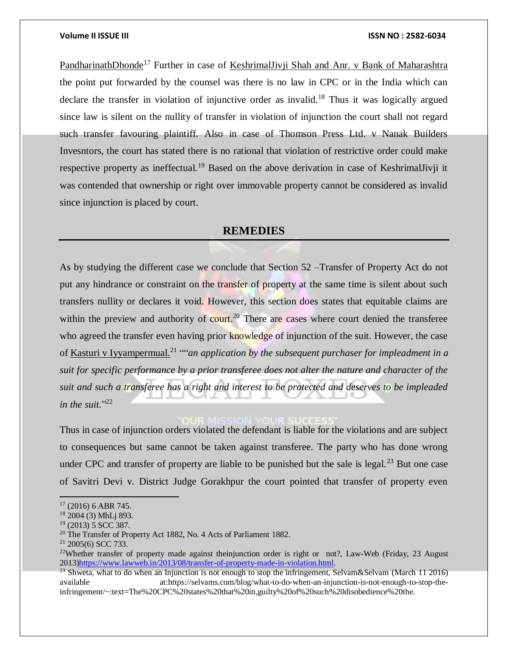PandharinathDhonde<sup>17</sup> Further in case of KeshrimalJivji Shah and Anr. v Bank of Maharashtra the point put forwarded by the counsel was there is no law in CPC or in the India which can declare the transfer in violation of injunctive order as invalid.<sup>18</sup> Thus it was logically argued since law is silent on the nullity of transfer in violation of injunction the court shall not regard such transfer favouring plaintiff. Also in case of Thomson Press Ltd. v Nanak Builders Invesntors, the court has stated there is no rational that violation of restrictive order could make respective property as ineffectual.<sup>19</sup> Based on the above derivation in case of KeshrimalJivji it was contended that ownership or right over immovable property cannot be considered as invalid since injunction is placed by court.

### **REMEDIES**

As by studying the different case we conclude that Section 52 –Transfer of Property Act do not put any hindrance or constraint on the transfer of property at the same time is silent about such transfers nullity or declares it void. However, this section does states that equitable claims are within the preview and authority of court.<sup>20</sup> There are cases where court denied the transferee who agreed the transfer even having prior knowledge of injunction of the suit. However, the case of <u>Kasturi v Iyyampermual.<sup>21</sup> ""an application by the subsequent purchaser for impleadment in a</u> *suit for specific performance by a prior transferee does not alter the nature and character of the suit and such a transferee has a right and interest to be protected and deserves to be impleaded in the suit.*" 22

Thus in case of injunction orders violated the defendant is liable for the violations and are subject to consequences but same cannot be taken against transferee. The party who has done wrong under CPC and transfer of property are liable to be punished but the sale is legal.<sup>23</sup> But one case of Savitri Devi v. District Judge Gorakhpur the court pointed that transfer of property even

<sup>17</sup> (2016) 6 ABR 745.

<sup>&</sup>lt;sup>18</sup> 2004 (3) MhL<sub>j</sub> 893.

<sup>19</sup> (2013) 5 SCC 387.

<sup>20</sup> The Transfer of Property Act 1882, No. 4 Acts of Parliament 1882.

 $21$  2005(6) SCC 733.

<sup>&</sup>lt;sup>22</sup>Whether transfer of property made against theinjunction order is right or not?, Law-Web (Friday, 23 August 2013[\)https://www.lawweb.in/2013/08/transfer-of-property-made-in-violation.html.](https://www.lawweb.in/2013/08/transfer-of-property-made-in-violation.html)

<sup>&</sup>lt;sup>23</sup> Shweta, what to do when an Injunction is not enough to stop the infringement, Selvam&Selvam (March 11 2016) available at:https://selvams.com/blog/what-to-do-when-an-injunction-is-not-enough-to-stop-theinfringement/~:text=The%20CPC%20states%20that%20in,guilty%20of%20such%20disobedience%20the.